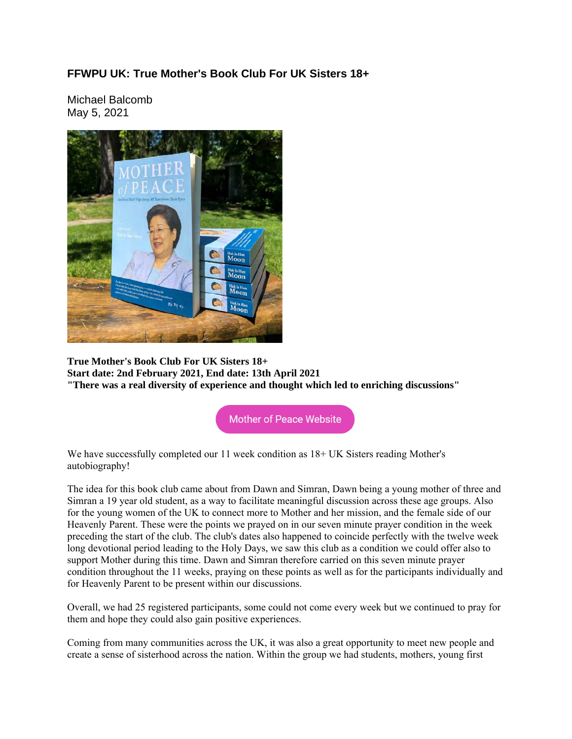## **FFWPU UK: True Mother's Book Club For UK Sisters 18+**

Michael Balcomb May 5, 2021



**True Mother's Book Club For UK Sisters 18+ Start date: 2nd February 2021, End date: 13th April 2021 "There was a real diversity of experience and thought which led to enriching discussions"**

**Mother of Peace Website** 

We have successfully completed our 11 week condition as  $18+ UK$  Sisters reading Mother's autobiography!

The idea for this book club came about from Dawn and Simran, Dawn being a young mother of three and Simran a 19 year old student, as a way to facilitate meaningful discussion across these age groups. Also for the young women of the UK to connect more to Mother and her mission, and the female side of our Heavenly Parent. These were the points we prayed on in our seven minute prayer condition in the week preceding the start of the club. The club's dates also happened to coincide perfectly with the twelve week long devotional period leading to the Holy Days, we saw this club as a condition we could offer also to support Mother during this time. Dawn and Simran therefore carried on this seven minute prayer condition throughout the 11 weeks, praying on these points as well as for the participants individually and for Heavenly Parent to be present within our discussions.

Overall, we had 25 registered participants, some could not come every week but we continued to pray for them and hope they could also gain positive experiences.

Coming from many communities across the UK, it was also a great opportunity to meet new people and create a sense of sisterhood across the nation. Within the group we had students, mothers, young first